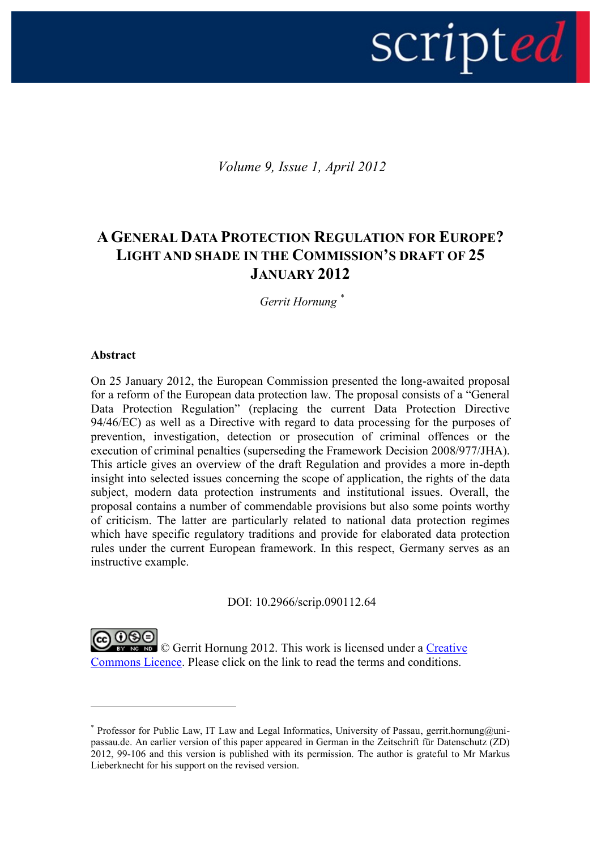# script*ed*

*Volume 9, Issue 1, April 2012*

# **AGENERAL DATA PROTECTION REGULATION FOR EUROPE? LIGHT AND SHADE IN THE COMMISSION'S DRAFT OF 25 JANUARY 2012**

*Gerrit Hornung \**

# **Abstract**

1

On 25 January 2012, the European Commission presented the long-awaited proposal for a reform of the European data protection law. The proposal consists of a "General Data Protection Regulation" (replacing the current Data Protection Directive 94/46/EC) as well as a Directive with regard to data processing for the purposes of prevention, investigation, detection or prosecution of criminal offences or the execution of criminal penalties (superseding the Framework Decision 2008/977/JHA). This article gives an overview of the draft Regulation and provides a more in-depth insight into selected issues concerning the scope of application, the rights of the data subject, modern data protection instruments and institutional issues. Overall, the proposal contains a number of commendable provisions but also some points worthy of criticism. The latter are particularly related to national data protection regimes which have specific regulatory traditions and provide for elaborated data protection rules under the current European framework. In this respect, Germany serves as an instructive example.

DOI: 10.2966/scrip.090112.64

**Example 3** Gerrit Hornung 2012. This work is licensed under a Creative [Commons Licence.](http://creativecommons.org/licenses/by-nc-nd/2.5/scotland/) Please click on the link to read the terms and conditions.

<sup>\*</sup> Professor for Public Law, IT Law and Legal Informatics, University of Passau, gerrit.hornung@unipassau.de. An earlier version of this paper appeared in German in the Zeitschrift für Datenschutz (ZD) 2012, 99-106 and this version is published with its permission. The author is grateful to Mr Markus Lieberknecht for his support on the revised version.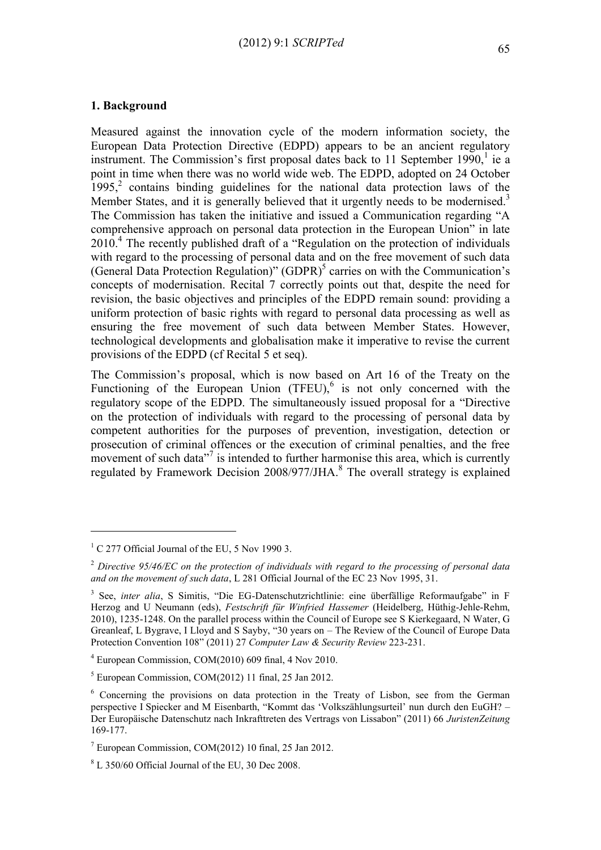# **1. Background**

Measured against the innovation cycle of the modern information society, the European Data Protection Directive (EDPD) appears to be an ancient regulatory instrument. The Commission's first proposal dates back to 11 September  $1990$ ,<sup>1</sup> ie a point in time when there was no world wide web. The EDPD, adopted on 24 October  $1995$ ,<sup>2</sup> contains binding guidelines for the national data protection laws of the Member States, and it is generally believed that it urgently needs to be modernised.<sup>3</sup> The Commission has taken the initiative and issued a Communication regarding "A comprehensive approach on personal data protection in the European Union" in late 2010.<sup>4</sup> The recently published draft of a "Regulation on the protection of individuals with regard to the processing of personal data and on the free movement of such data (General Data Protection Regulation)" (GDPR)<sup>5</sup> carries on with the Communication's concepts of modernisation. Recital 7 correctly points out that, despite the need for revision, the basic objectives and principles of the EDPD remain sound: providing a uniform protection of basic rights with regard to personal data processing as well as ensuring the free movement of such data between Member States. However, technological developments and globalisation make it imperative to revise the current provisions of the EDPD (cf Recital 5 et seq).

The Commission's proposal, which is now based on Art 16 of the Treaty on the Functioning of the European Union (TFEU),<sup>6</sup> is not only concerned with the regulatory scope of the EDPD. The simultaneously issued proposal for a "Directive on the protection of individuals with regard to the processing of personal data by competent authorities for the purposes of prevention, investigation, detection or prosecution of criminal offences or the execution of criminal penalties, and the free movement of such data<sup>"7</sup> is intended to further harmonise this area, which is currently regulated by Framework Decision  $2008/977/JHA$ .<sup>8</sup> The overall strategy is explained

 $1 \text{ C}$  277 Official Journal of the EU, 5 Nov 1990 3.

<sup>2</sup> *Directive 95/46/EC on the protection of individuals with regard to the processing of personal data and on the movement of such data*, L 281 Official Journal of the EC 23 Nov 1995, 31.

<sup>&</sup>lt;sup>3</sup> See, *inter alia*, S Simitis, "Die EG-Datenschutzrichtlinie: eine überfällige Reformaufgabe" in F Herzog and U Neumann (eds), *Festschrift für Winfried Hassemer* (Heidelberg, Hüthig-Jehle-Rehm, 2010), 1235-1248. On the parallel process within the Council of Europe see S Kierkegaard, N Water, G Greanleaf, L Bygrave, I Lloyd and S Sayby, "30 years on – The Review of the Council of Europe Data Protection Convention 108" (2011) 27 *Computer Law & Security Review* 223-231.

<sup>4</sup> European Commission, COM(2010) 609 final, 4 Nov 2010.

 $<sup>5</sup>$  European Commission, COM(2012) 11 final, 25 Jan 2012.</sup>

<sup>6</sup> Concerning the provisions on data protection in the Treaty of Lisbon, see from the German perspective I Spiecker and M Eisenbarth, "Kommt das 'Volkszählungsurteil' nun durch den EuGH? – Der Europäische Datenschutz nach Inkrafttreten des Vertrags von Lissabon" (2011) 66 *JuristenZeitung* 169-177.

 $^7$  European Commission, COM(2012) 10 final, 25 Jan 2012.

<sup>8</sup> L 350/60 Official Journal of the EU, 30 Dec 2008.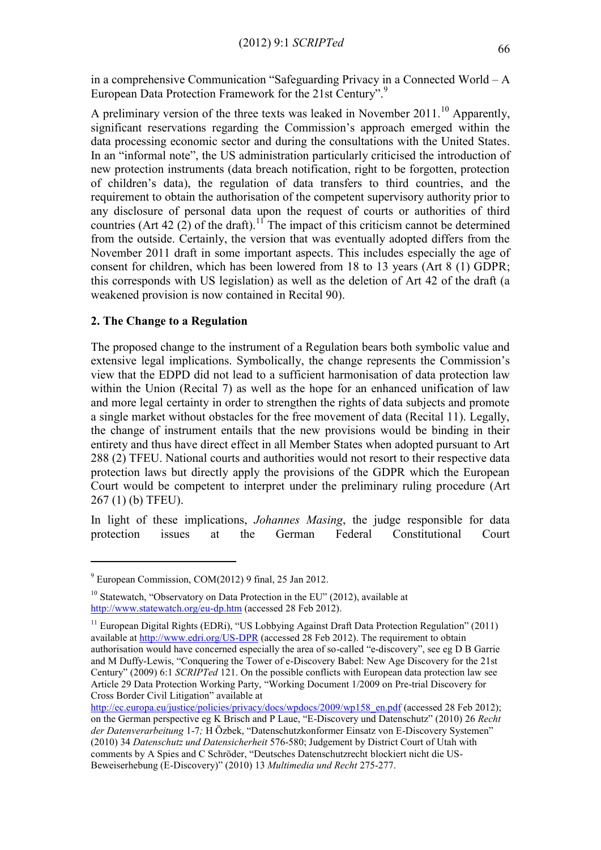in a comprehensive Communication "Safeguarding Privacy in a Connected World – A European Data Protection Framework for the 21st Century".<sup>9</sup>

A preliminary version of the three texts was leaked in November  $2011$ .<sup>10</sup> Apparently, significant reservations regarding the Commission's approach emerged within the data processing economic sector and during the consultations with the United States. In an "informal note", the US administration particularly criticised the introduction of new protection instruments (data breach notification, right to be forgotten, protection of children's data), the regulation of data transfers to third countries, and the requirement to obtain the authorisation of the competent supervisory authority prior to any disclosure of personal data upon the request of courts or authorities of third countries (Art 42 (2) of the draft).<sup>11</sup> The impact of this criticism cannot be determined from the outside. Certainly, the version that was eventually adopted differs from the November 2011 draft in some important aspects. This includes especially the age of consent for children, which has been lowered from 18 to 13 years (Art 8 (1) GDPR; this corresponds with US legislation) as well as the deletion of Art 42 of the draft (a weakened provision is now contained in Recital 90).

# **2. The Change to a Regulation**

The proposed change to the instrument of a Regulation bears both symbolic value and extensive legal implications. Symbolically, the change represents the Commission's view that the EDPD did not lead to a sufficient harmonisation of data protection law within the Union (Recital 7) as well as the hope for an enhanced unification of law and more legal certainty in order to strengthen the rights of data subjects and promote a single market without obstacles for the free movement of data (Recital 11). Legally, the change of instrument entails that the new provisions would be binding in their entirety and thus have direct effect in all Member States when adopted pursuant to Art 288 (2) TFEU. National courts and authorities would not resort to their respective data protection laws but directly apply the provisions of the GDPR which the European Court would be competent to interpret under the preliminary ruling procedure (Art 267 (1) (b) TFEU).

In light of these implications, *Johannes Masing*, the judge responsible for data protection issues at the German Federal Constitutional Court

<sup>9</sup> European Commission, COM(2012) 9 final, 25 Jan 2012.

<sup>&</sup>lt;sup>10</sup> Statewatch, "Observatory on Data Protection in the EU" (2012), available at <http://www.statewatch.org/eu-dp.htm> (accessed 28 Feb 2012).

<sup>&</sup>lt;sup>11</sup> European Digital Rights (EDRi), "US Lobbying Against Draft Data Protection Regulation" (2011) available at <http://www.edri.org/US-DPR> (accessed 28 Feb 2012). The requirement to obtain authorisation would have concerned especially the area of so-called "e-discovery", see eg D B Garrie and M Duffy-Lewis, "Conquering the Tower of e-Discovery Babel: New Age Discovery for the 21st Century" (2009) 6:1 *SCRIPTed* 121. On the possible conflicts with European data protection law see Article 29 Data Protection Working Party, "Working Document 1/2009 on Pre-trial Discovery for Cross Border Civil Litigation" available at

[http://ec.europa.eu/justice/policies/privacy/docs/wpdocs/2009/wp158\\_en.pdf](http://ec.europa.eu/justice/policies/privacy/docs/wpdocs/2010/wp173_en.pdf) (accessed 28 Feb 2012); on the German perspective eg K Brisch and P Laue, "E-Discovery und Datenschutz" (2010) 26 *Recht der Datenverarbeitung* 1-7*;* H Özbek, "Datenschutzkonformer Einsatz von E-Discovery Systemen" (2010) 34 *Datenschutz und Datensicherheit* 576-580; Judgement by District Court of Utah with comments by A Spies and C Schröder, "Deutsches Datenschutzrecht blockiert nicht die US-Beweiserhebung (E-Discovery)" (2010) 13 *Multimedia und Recht* 275-277.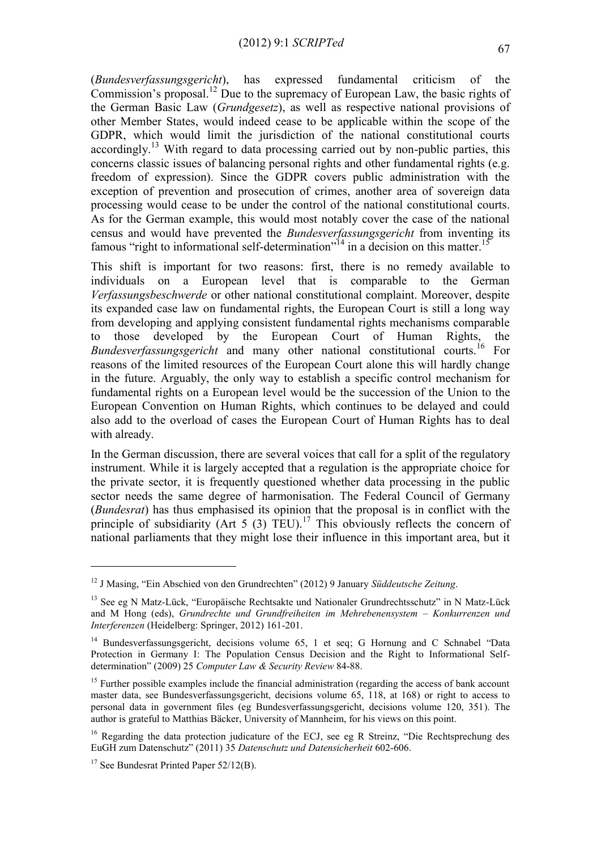(*Bundesverfassungsgericht*), has expressed fundamental criticism of the Commission's proposal.<sup>12</sup> Due to the supremacy of European Law, the basic rights of the German Basic Law (*Grundgesetz*), as well as respective national provisions of other Member States, would indeed cease to be applicable within the scope of the GDPR, which would limit the jurisdiction of the national constitutional courts accordingly.<sup>13</sup> With regard to data processing carried out by non-public parties, this concerns classic issues of balancing personal rights and other fundamental rights (e.g. freedom of expression). Since the GDPR covers public administration with the exception of prevention and prosecution of crimes, another area of sovereign data processing would cease to be under the control of the national constitutional courts. As for the German example, this would most notably cover the case of the national census and would have prevented the *Bundesverfassungsgericht* from inventing its famous "right to informational self-determination"<sup>14</sup> in a decision on this matter.<sup>15</sup>

This shift is important for two reasons: first, there is no remedy available to individuals on a European level that is comparable to the German *Verfassungsbeschwerde* or other national constitutional complaint. Moreover, despite its expanded case law on fundamental rights, the European Court is still a long way from developing and applying consistent fundamental rights mechanisms comparable to those developed by the European Court of Human Rights, the *Bundesverfassungsgericht* and many other national constitutional courts.<sup>16</sup> For reasons of the limited resources of the European Court alone this will hardly change in the future. Arguably, the only way to establish a specific control mechanism for fundamental rights on a European level would be the succession of the Union to the European Convention on Human Rights, which continues to be delayed and could also add to the overload of cases the European Court of Human Rights has to deal with already.

In the German discussion, there are several voices that call for a split of the regulatory instrument. While it is largely accepted that a regulation is the appropriate choice for the private sector, it is frequently questioned whether data processing in the public sector needs the same degree of harmonisation. The Federal Council of Germany (*Bundesrat*) has thus emphasised its opinion that the proposal is in conflict with the principle of subsidiarity (Art 5 (3) TEU).<sup>17</sup> This obviously reflects the concern of national parliaments that they might lose their influence in this important area, but it

<sup>12</sup> J Masing, "Ein Abschied von den Grundrechten" (2012) 9 January *Süddeutsche Zeitung*.

<sup>&</sup>lt;sup>13</sup> See eg N Matz-Lück, "Europäische Rechtsakte und Nationaler Grundrechtsschutz" in N Matz-Lück and M Hong (eds), *Grundrechte und Grundfreiheiten im Mehrebenensystem – Konkurrenzen und Interferenzen* (Heidelberg: Springer, 2012) 161-201.

<sup>&</sup>lt;sup>14</sup> Bundesverfassungsgericht, decisions volume 65, 1 et seq; G Hornung and C Schnabel "Data Protection in Germany I: The Population Census Decision and the Right to Informational Selfdetermination" (2009) 25 *Computer Law & Security Review* 84-88.

<sup>&</sup>lt;sup>15</sup> Further possible examples include the financial administration (regarding the access of bank account master data, see Bundesverfassungsgericht, decisions volume 65, 118, at 168) or right to access to personal data in government files (eg Bundesverfassungsgericht, decisions volume 120, 351). The author is grateful to Matthias Bäcker, University of Mannheim, for his views on this point.

<sup>&</sup>lt;sup>16</sup> Regarding the data protection judicature of the ECJ, see eg R Streinz, "Die Rechtsprechung des EuGH zum Datenschutz" (2011) 35 *Datenschutz und Datensicherheit* 602-606.

<sup>&</sup>lt;sup>17</sup> See Bundesrat Printed Paper  $52/12$ (B).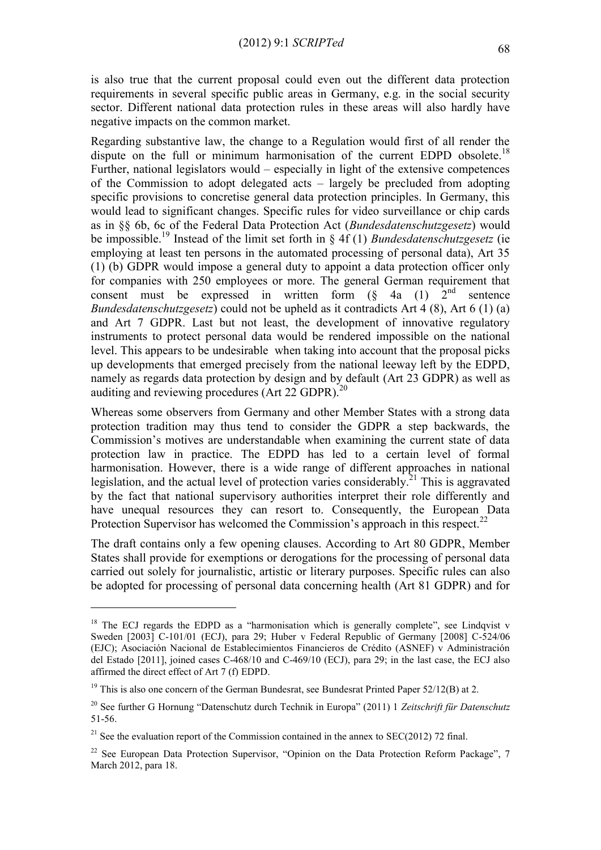is also true that the current proposal could even out the different data protection requirements in several specific public areas in Germany, e.g. in the social security sector. Different national data protection rules in these areas will also hardly have negative impacts on the common market.

Regarding substantive law, the change to a Regulation would first of all render the dispute on the full or minimum harmonisation of the current EDPD obsolete.<sup>18</sup> Further, national legislators would – especially in light of the extensive competences of the Commission to adopt delegated acts – largely be precluded from adopting specific provisions to concretise general data protection principles. In Germany, this would lead to significant changes. Specific rules for video surveillance or chip cards as in §§ 6b, 6c of the Federal Data Protection Act (*Bundesdatenschutzgesetz*) would be impossible.<sup>19</sup> Instead of the limit set forth in § 4f (1) *Bundesdatenschutzgesetz* (ie employing at least ten persons in the automated processing of personal data), Art 35 (1) (b) GDPR would impose a general duty to appoint a data protection officer only for companies with 250 employees or more. The general German requirement that consent must be expressed in written form  $(\S$  4a  $(1)$  2<sup>nd</sup> sentence *Bundesdatenschutzgesetz*) could not be upheld as it contradicts Art 4 (8), Art 6 (1) (a) and Art 7 GDPR. Last but not least, the development of innovative regulatory instruments to protect personal data would be rendered impossible on the national level. This appears to be undesirable when taking into account that the proposal picks up developments that emerged precisely from the national leeway left by the EDPD, namely as regards data protection by design and by default (Art 23 GDPR) as well as auditing and reviewing procedures (Art 22 GDPR). $^{20}$ 

Whereas some observers from Germany and other Member States with a strong data protection tradition may thus tend to consider the GDPR a step backwards, the Commission's motives are understandable when examining the current state of data protection law in practice. The EDPD has led to a certain level of formal harmonisation. However, there is a wide range of different approaches in national legislation, and the actual level of protection varies considerably.<sup>21</sup> This is aggravated by the fact that national supervisory authorities interpret their role differently and have unequal resources they can resort to. Consequently, the European Data Protection Supervisor has welcomed the Commission's approach in this respect.<sup>22</sup>

The draft contains only a few opening clauses. According to Art 80 GDPR, Member States shall provide for exemptions or derogations for the processing of personal data carried out solely for journalistic, artistic or literary purposes. Specific rules can also be adopted for processing of personal data concerning health (Art 81 GDPR) and for

<u>.</u>

<sup>&</sup>lt;sup>18</sup> The ECJ regards the EDPD as a "harmonisation which is generally complete", see Lindqvist v Sweden [2003] C-101/01 (ECJ), para 29; Huber v Federal Republic of Germany [2008] C-524/06 (EJC); Asociación Nacional de Establecimientos Financieros de Crédito (ASNEF) v Administración del Estado [2011], joined cases C-468/10 and C-469/10 (ECJ), para 29; in the last case, the ECJ also affirmed the direct effect of Art 7 (f) EDPD.

<sup>&</sup>lt;sup>19</sup> This is also one concern of the German Bundesrat, see Bundesrat Printed Paper  $52/12(B)$  at 2.

<sup>20</sup> See further G Hornung "Datenschutz durch Technik in Europa" (2011) 1 *Zeitschrift für Datenschutz*  51-56.

<sup>&</sup>lt;sup>21</sup> See the evaluation report of the Commission contained in the annex to SEC(2012) 72 final.

<sup>&</sup>lt;sup>22</sup> See European Data Protection Supervisor, "Opinion on the Data Protection Reform Package", 7 March 2012, para 18.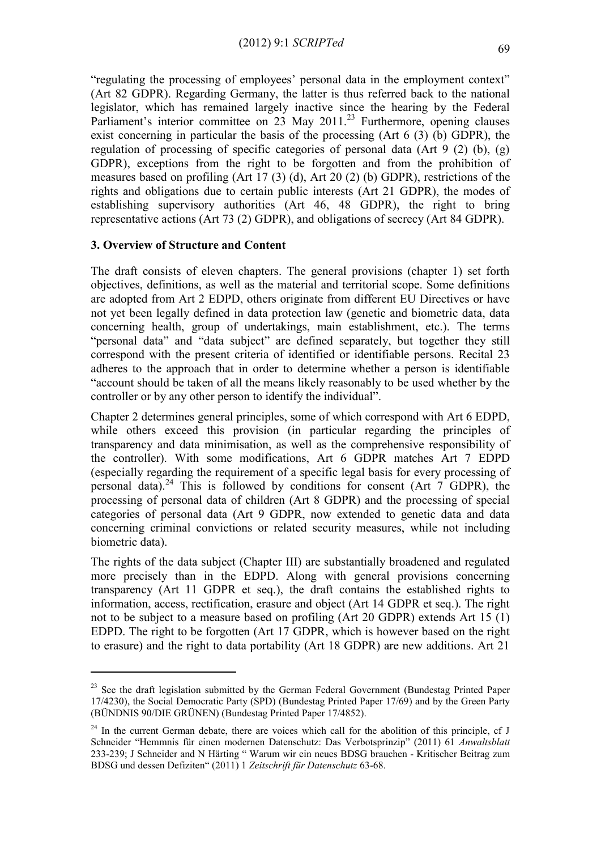<span id="page-5-0"></span>"regulating the processing of employees' personal data in the employment context" (Art 82 GDPR). Regarding Germany, the latter is thus referred back to the national legislator, which has remained largely inactive since the hearing by the Federal Parliament's interior committee on 23 May 2011.<sup>23</sup> Furthermore, opening clauses exist concerning in particular the basis of the processing (Art 6 (3) (b) GDPR), the regulation of processing of specific categories of personal data (Art 9 (2) (b), (g) GDPR), exceptions from the right to be forgotten and from the prohibition of measures based on profiling (Art 17 (3) (d), Art 20 (2) (b) GDPR), restrictions of the rights and obligations due to certain public interests (Art 21 GDPR), the modes of establishing supervisory authorities (Art 46, 48 GDPR), the right to bring representative actions (Art 73 (2) GDPR), and obligations of secrecy (Art 84 GDPR).

# **3. Overview of Structure and Content**

1

The draft consists of eleven chapters. The general provisions (chapter 1) set forth objectives, definitions, as well as the material and territorial scope. Some definitions are adopted from Art 2 EDPD, others originate from different EU Directives or have not yet been legally defined in data protection law (genetic and biometric data, data concerning health, group of undertakings, main establishment, etc.). The terms "personal data" and "data subject" are defined separately, but together they still correspond with the present criteria of identified or identifiable persons. Recital 23 adheres to the approach that in order to determine whether a person is identifiable "account should be taken of all the means likely reasonably to be used whether by the controller or by any other person to identify the individual".

Chapter 2 determines general principles, some of which correspond with Art 6 EDPD, while others exceed this provision (in particular regarding the principles of transparency and data minimisation, as well as the comprehensive responsibility of the controller). With some modifications, Art 6 GDPR matches Art 7 EDPD (especially regarding the requirement of a specific legal basis for every processing of personal data).<sup>24</sup> This is followed by conditions for consent (Art  $\overline{7}$  GDPR), the processing of personal data of children (Art 8 GDPR) and the processing of special categories of personal data (Art 9 GDPR, now extended to genetic data and data concerning criminal convictions or related security measures, while not including biometric data).

The rights of the data subject (Chapter III) are substantially broadened and regulated more precisely than in the EDPD. Along with general provisions concerning transparency (Art 11 GDPR et seq.), the draft contains the established rights to information, access, rectification, erasure and object (Art 14 GDPR et seq.). The right not to be subject to a measure based on profiling (Art 20 GDPR) extends Art 15 (1) EDPD. The right to be forgotten (Art 17 GDPR, which is however based on the right to erasure) and the right to data portability (Art 18 GDPR) are new additions. Art 21

<sup>&</sup>lt;sup>23</sup> See the draft legislation submitted by the German Federal Government (Bundestag Printed Paper 17/4230), the Social Democratic Party (SPD) (Bundestag Printed Paper 17/69) and by the Green Party (BÜNDNIS 90/DIE GRÜNEN) (Bundestag Printed Paper 17/4852).

 $24$  In the current German debate, there are voices which call for the abolition of this principle, cf J Schneider "Hemmnis für einen modernen Datenschutz: Das Verbotsprinzip" (2011) 61 *Anwaltsblatt* 233-239; J Schneider and N Härting " Warum wir ein neues BDSG brauchen - Kritischer Beitrag zum BDSG und dessen Defiziten" (2011) 1 *Zeitschrift für Datenschutz* 63-68.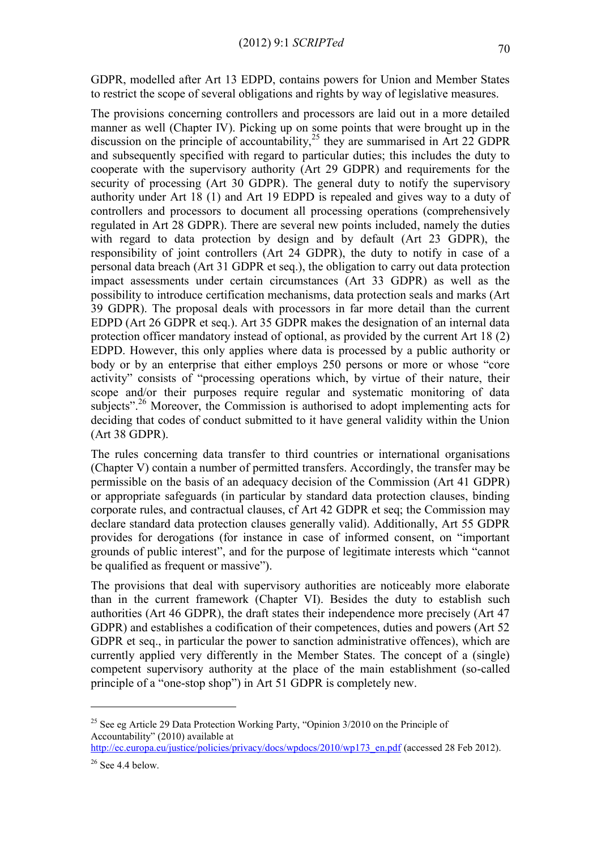The provisions concerning controllers and processors are laid out in a more detailed manner as well (Chapter IV). Picking up on some points that were brought up in the discussion on the principle of accountability,<sup>25</sup> they are summarised in Art 22 GDPR and subsequently specified with regard to particular duties; this includes the duty to cooperate with the supervisory authority (Art 29 GDPR) and requirements for the security of processing (Art 30 GDPR). The general duty to notify the supervisory authority under Art 18 (1) and Art 19 EDPD is repealed and gives way to a duty of controllers and processors to document all processing operations (comprehensively regulated in Art 28 GDPR). There are several new points included, namely the duties with regard to data protection by design and by default (Art 23 GDPR), the responsibility of joint controllers (Art 24 GDPR), the duty to notify in case of a personal data breach (Art 31 GDPR et seq.), the obligation to carry out data protection impact assessments under certain circumstances (Art 33 GDPR) as well as the possibility to introduce certification mechanisms, data protection seals and marks (Art 39 GDPR). The proposal deals with processors in far more detail than the current EDPD (Art 26 GDPR et seq.). Art 35 GDPR makes the designation of an internal data protection officer mandatory instead of optional, as provided by the current Art 18 (2) EDPD. However, this only applies where data is processed by a public authority or body or by an enterprise that either employs 250 persons or more or whose "core activity" consists of "processing operations which, by virtue of their nature, their scope and/or their purposes require regular and systematic monitoring of data subjects".<sup>26</sup> Moreover, the Commission is authorised to adopt implementing acts for deciding that codes of conduct submitted to it have general validity within the Union (Art 38 GDPR).

The rules concerning data transfer to third countries or international organisations (Chapter V) contain a number of permitted transfers. Accordingly, the transfer may be permissible on the basis of an adequacy decision of the Commission (Art 41 GDPR) or appropriate safeguards (in particular by standard data protection clauses, binding corporate rules, and contractual clauses, cf Art 42 GDPR et seq; the Commission may declare standard data protection clauses generally valid). Additionally, Art 55 GDPR provides for derogations (for instance in case of informed consent, on "important grounds of public interest", and for the purpose of legitimate interests which "cannot be qualified as frequent or massive").

The provisions that deal with supervisory authorities are noticeably more elaborate than in the current framework (Chapter VI). Besides the duty to establish such authorities (Art 46 GDPR), the draft states their independence more precisely (Art 47 GDPR) and establishes a codification of their competences, duties and powers (Art 52 GDPR et seq., in particular the power to sanction administrative offences), which are currently applied very differently in the Member States. The concept of a (single) competent supervisory authority at the place of the main establishment (so-called principle of a "one-stop shop") in Art 51 GDPR is completely new.

<sup>&</sup>lt;sup>25</sup> See eg Article 29 Data Protection Working Party, "Opinion  $3/2010$  on the Principle of Accountability" (2010) available at

[http://ec.europa.eu/justice/policies/privacy/docs/wpdocs/2010/wp173\\_en.pdf](http://ec.europa.eu/justice/policies/privacy/docs/wpdocs/2010/wp173_en.pdf) (accessed 28 Feb 2012).

 $26$  See 4.4 below.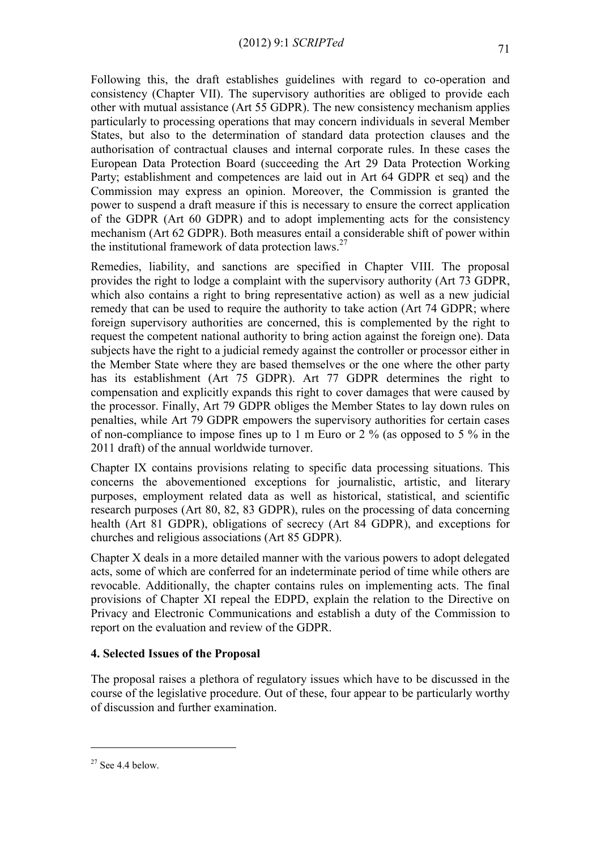Following this, the draft establishes guidelines with regard to co-operation and consistency (Chapter VII). The supervisory authorities are obliged to provide each other with mutual assistance (Art 55 GDPR). The new consistency mechanism applies particularly to processing operations that may concern individuals in several Member States, but also to the determination of standard data protection clauses and the authorisation of contractual clauses and internal corporate rules. In these cases the European Data Protection Board (succeeding the Art 29 Data Protection Working Party; establishment and competences are laid out in Art 64 GDPR et seq) and the Commission may express an opinion. Moreover, the Commission is granted the power to suspend a draft measure if this is necessary to ensure the correct application of the GDPR (Art 60 GDPR) and to adopt implementing acts for the consistency mechanism (Art 62 GDPR). Both measures entail a considerable shift of power within the institutional framework of data protection laws.<sup>27</sup>

Remedies, liability, and sanctions are specified in Chapter VIII. The proposal provides the right to lodge a complaint with the supervisory authority (Art 73 GDPR, which also contains a right to bring representative action) as well as a new judicial remedy that can be used to require the authority to take action (Art 74 GDPR; where foreign supervisory authorities are concerned, this is complemented by the right to request the competent national authority to bring action against the foreign one). Data subjects have the right to a judicial remedy against the controller or processor either in the Member State where they are based themselves or the one where the other party has its establishment (Art 75 GDPR). Art 77 GDPR determines the right to compensation and explicitly expands this right to cover damages that were caused by the processor. Finally, Art 79 GDPR obliges the Member States to lay down rules on penalties, while Art 79 GDPR empowers the supervisory authorities for certain cases of non-compliance to impose fines up to 1 m Euro or 2 % (as opposed to 5 % in the 2011 draft) of the annual worldwide turnover.

Chapter IX contains provisions relating to specific data processing situations. This concerns the abovementioned exceptions for journalistic, artistic, and literary purposes, employment related data as well as historical, statistical, and scientific research purposes (Art 80, 82, 83 GDPR), rules on the processing of data concerning health (Art 81 GDPR), obligations of secrecy (Art 84 GDPR), and exceptions for churches and religious associations (Art 85 GDPR).

Chapter X deals in a more detailed manner with the various powers to adopt delegated acts, some of which are conferred for an indeterminate period of time while others are revocable. Additionally, the chapter contains rules on implementing acts. The final provisions of Chapter XI repeal the EDPD, explain the relation to the Directive on Privacy and Electronic Communications and establish a duty of the Commission to report on the evaluation and review of the GDPR.

# **4. Selected Issues of the Proposal**

The proposal raises a plethora of regulatory issues which have to be discussed in the course of the legislative procedure. Out of these, four appear to be particularly worthy of discussion and further examination.

 $27$  See 4.4 below.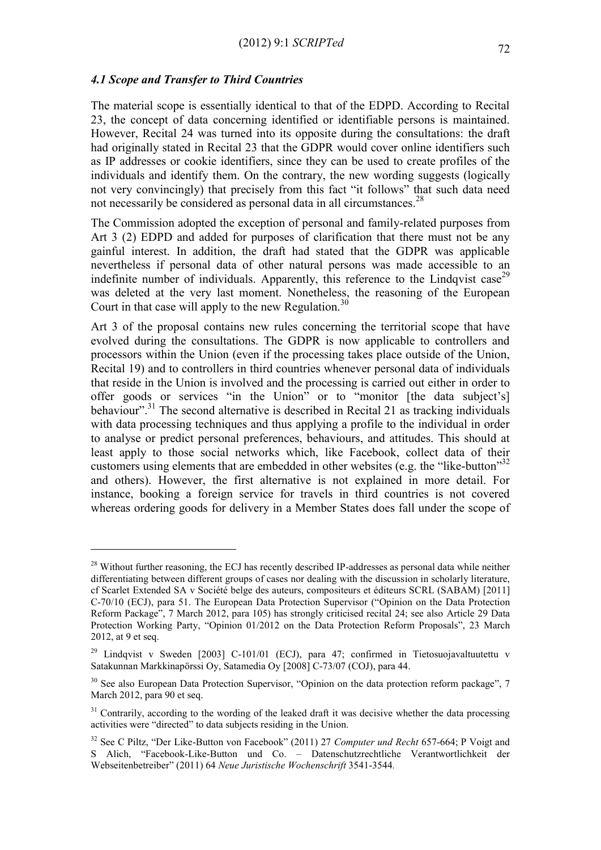#### *4.1 Scope and Transfer to Third Countries*

1

The material scope is essentially identical to that of the EDPD. According to Recital 23, the concept of data concerning identified or identifiable persons is maintained. However, Recital 24 was turned into its opposite during the consultations: the draft had originally stated in Recital 23 that the GDPR would cover online identifiers such as IP addresses or cookie identifiers, since they can be used to create profiles of the individuals and identify them. On the contrary, the new wording suggests (logically not very convincingly) that precisely from this fact "it follows" that such data need not necessarily be considered as personal data in all circumstances.<sup>28</sup>

The Commission adopted the exception of personal and family-related purposes from Art 3 (2) EDPD and added for purposes of clarification that there must not be any gainful interest. In addition, the draft had stated that the GDPR was applicable nevertheless if personal data of other natural persons was made accessible to an indefinite number of individuals. Apparently, this reference to the Lindqvist case<sup>29</sup> was deleted at the very last moment. Nonetheless, the reasoning of the European Court in that case will apply to the new Regulation.<sup>30</sup>

Art 3 of the proposal contains new rules concerning the territorial scope that have evolved during the consultations. The GDPR is now applicable to controllers and processors within the Union (even if the processing takes place outside of the Union, Recital 19) and to controllers in third countries whenever personal data of individuals that reside in the Union is involved and the processing is carried out either in order to offer goods or services "in the Union" or to "monitor [the data subject's] behaviour".<sup>31</sup> The second alternative is described in Recital 21 as tracking individuals with data processing techniques and thus applying a profile to the individual in order to analyse or predict personal preferences, behaviours, and attitudes. This should at least apply to those social networks which, like Facebook, collect data of their customers using elements that are embedded in other websites (e.g. the "like-button"<sup>32</sup> and others). However, the first alternative is not explained in more detail. For instance, booking a foreign service for travels in third countries is not covered whereas ordering goods for delivery in a Member States does fall under the scope of

<sup>&</sup>lt;sup>28</sup> Without further reasoning, the ECJ has recently described IP-addresses as personal data while neither differentiating between different groups of cases nor dealing with the discussion in scholarly literature, cf Scarlet Extended SA v Société belge des auteurs, compositeurs et éditeurs SCRL (SABAM) [2011] C-70/10 (ECJ), para 51. The European Data Protection Supervisor ("Opinion on the Data Protection Reform Package", 7 March 2012, para 105) has strongly criticised recital 24; see also Article 29 Data Protection Working Party, "Opinion 01/2012 on the Data Protection Reform Proposals", 23 March 2012, at 9 et seq.

<sup>&</sup>lt;sup>29</sup> Lindqvist v Sweden [2003] C-101/01 (ECJ), para 47; confirmed in Tietosuojavaltuutettu v Satakunnan Markkinapörssi Oy, Satamedia Oy [2008] C-73/07 (COJ), para 44.

<sup>&</sup>lt;sup>30</sup> See also European Data Protection Supervisor, "Opinion on the data protection reform package", 7 March 2012, para 90 et seq.

 $31$  Contrarily, according to the wording of the leaked draft it was decisive whether the data processing activities were "directed" to data subjects residing in the Union.

<sup>32</sup> See C Piltz, "Der Like-Button von Facebook" (2011) 27 *Computer und Recht* 657-664; P Voigt and S Alich, "Facebook-Like-Button und Co. – Datenschutzrechtliche Verantwortlichkeit der Webseitenbetreiber" (2011) 64 *Neue Juristische Wochenschrift* 3541-3544*.*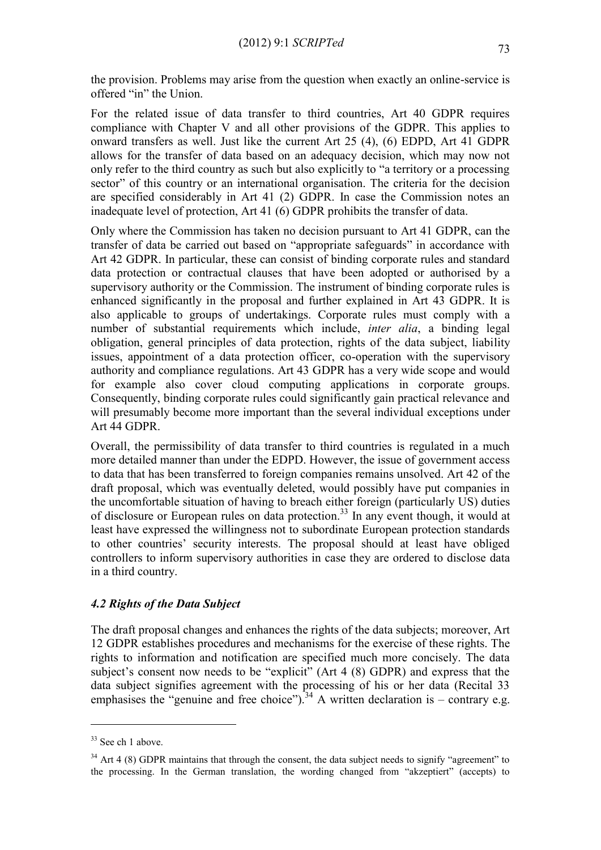the provision. Problems may arise from the question when exactly an online-service is offered "in" the Union.

For the related issue of data transfer to third countries, Art 40 GDPR requires compliance with Chapter V and all other provisions of the GDPR. This applies to onward transfers as well. Just like the current Art 25 (4), (6) EDPD, Art 41 GDPR allows for the transfer of data based on an adequacy decision, which may now not only refer to the third country as such but also explicitly to "a territory or a processing sector" of this country or an international organisation. The criteria for the decision are specified considerably in Art 41 (2) GDPR. In case the Commission notes an inadequate level of protection, Art 41 (6) GDPR prohibits the transfer of data.

Only where the Commission has taken no decision pursuant to Art 41 GDPR, can the transfer of data be carried out based on "appropriate safeguards" in accordance with Art 42 GDPR. In particular, these can consist of binding corporate rules and standard data protection or contractual clauses that have been adopted or authorised by a supervisory authority or the Commission. The instrument of binding corporate rules is enhanced significantly in the proposal and further explained in Art 43 GDPR. It is also applicable to groups of undertakings. Corporate rules must comply with a number of substantial requirements which include, *inter alia*, a binding legal obligation, general principles of data protection, rights of the data subject, liability issues, appointment of a data protection officer, co-operation with the supervisory authority and compliance regulations. Art 43 GDPR has a very wide scope and would for example also cover cloud computing applications in corporate groups. Consequently, binding corporate rules could significantly gain practical relevance and will presumably become more important than the several individual exceptions under Art 44 GDPR.

Overall, the permissibility of data transfer to third countries is regulated in a much more detailed manner than under the EDPD. However, the issue of government access to data that has been transferred to foreign companies remains unsolved. Art 42 of the draft proposal, which was eventually deleted, would possibly have put companies in the uncomfortable situation of having to breach either foreign (particularly US) duties of disclosure or European rules on data protection. <sup>33</sup> In any event though, it would at least have expressed the willingness not to subordinate European protection standards to other countries' security interests. The proposal should at least have obliged controllers to inform supervisory authorities in case they are ordered to disclose data in a third country.

# *4.2 Rights of the Data Subject*

The draft proposal changes and enhances the rights of the data subjects; moreover, Art 12 GDPR establishes procedures and mechanisms for the exercise of these rights. The rights to information and notification are specified much more concisely. The data subject's consent now needs to be "explicit" (Art 4 (8) GDPR) and express that the data subject signifies agreement with the processing of his or her data (Recital 33 emphasises the "genuine and free choice").<sup>34</sup> A written declaration is – contrary e.g.

 $33$  See ch 1 above.

 $34$  Art 4 (8) GDPR maintains that through the consent, the data subject needs to signify "agreement" to the processing. In the German translation, the wording changed from "akzeptiert" (accepts) to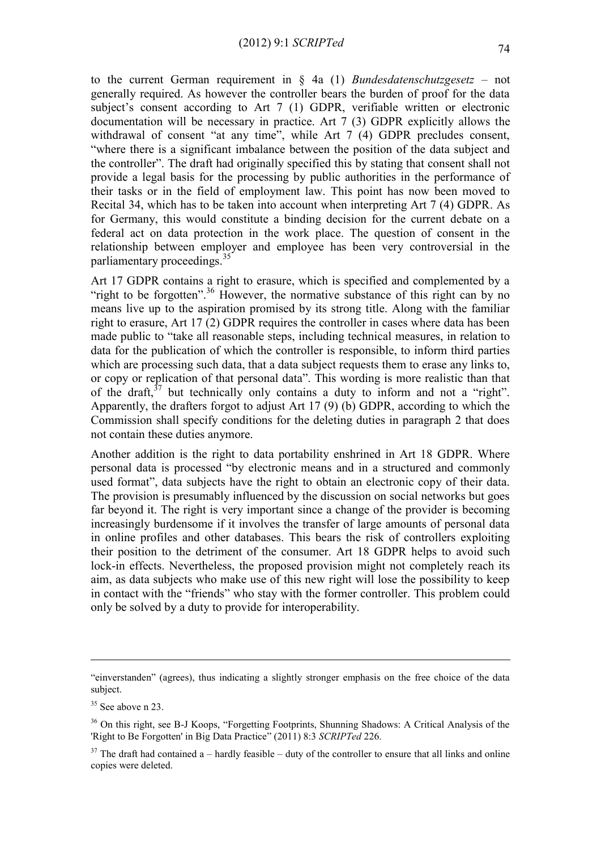to the current German requirement in § 4a (1) *Bundesdatenschutzgesetz* – not generally required. As however the controller bears the burden of proof for the data subject's consent according to Art 7 (1) GDPR, verifiable written or electronic documentation will be necessary in practice. Art 7 (3) GDPR explicitly allows the withdrawal of consent "at any time", while Art 7 (4) GDPR precludes consent, "where there is a significant imbalance between the position of the data subject and the controller". The draft had originally specified this by stating that consent shall not provide a legal basis for the processing by public authorities in the performance of their tasks or in the field of employment law. This point has now been moved to Recital 34, which has to be taken into account when interpreting Art 7 (4) GDPR. As for Germany, this would constitute a binding decision for the current debate on a federal act on data protection in the work place. The question of consent in the relationship between employer and employee has been very controversial in the parliamentary proceedings. 35

Art 17 GDPR contains a right to erasure, which is specified and complemented by a "right to be forgotten".<sup>36</sup> However, the normative substance of this right can by no means live up to the aspiration promised by its strong title. Along with the familiar right to erasure, Art 17 (2) GDPR requires the controller in cases where data has been made public to "take all reasonable steps, including technical measures, in relation to data for the publication of which the controller is responsible, to inform third parties which are processing such data, that a data subject requests them to erase any links to, or copy or replication of that personal data". This wording is more realistic than that of the draft,  $37$  but technically only contains a duty to inform and not a "right". Apparently, the drafters forgot to adjust Art 17 (9) (b) GDPR, according to which the Commission shall specify conditions for the deleting duties in paragraph 2 that does not contain these duties anymore.

Another addition is the right to data portability enshrined in Art 18 GDPR. Where personal data is processed "by electronic means and in a structured and commonly used format", data subjects have the right to obtain an electronic copy of their data. The provision is presumably influenced by the discussion on social networks but goes far beyond it. The right is very important since a change of the provider is becoming increasingly burdensome if it involves the transfer of large amounts of personal data in online profiles and other databases. This bears the risk of controllers exploiting their position to the detriment of the consumer. Art 18 GDPR helps to avoid such lock-in effects. Nevertheless, the proposed provision might not completely reach its aim, as data subjects who make use of this new right will lose the possibility to keep in contact with the "friends" who stay with the former controller. This problem could only be solved by a duty to provide for interoperability.

<sup>&</sup>quot;einverstanden" (agrees), thus indicating a slightly stronger emphasis on the free choice of the data subject.

 $35$  See above n [23.](#page-5-0)

<sup>&</sup>lt;sup>36</sup> On this right, see B-J Koops, "Forgetting Footprints, Shunning Shadows: A Critical Analysis of the 'Right to Be Forgotten' in Big Data Practice" (2011) 8:3 *SCRIPTed* 226.

 $37$  The draft had contained a – hardly feasible – duty of the controller to ensure that all links and online copies were deleted.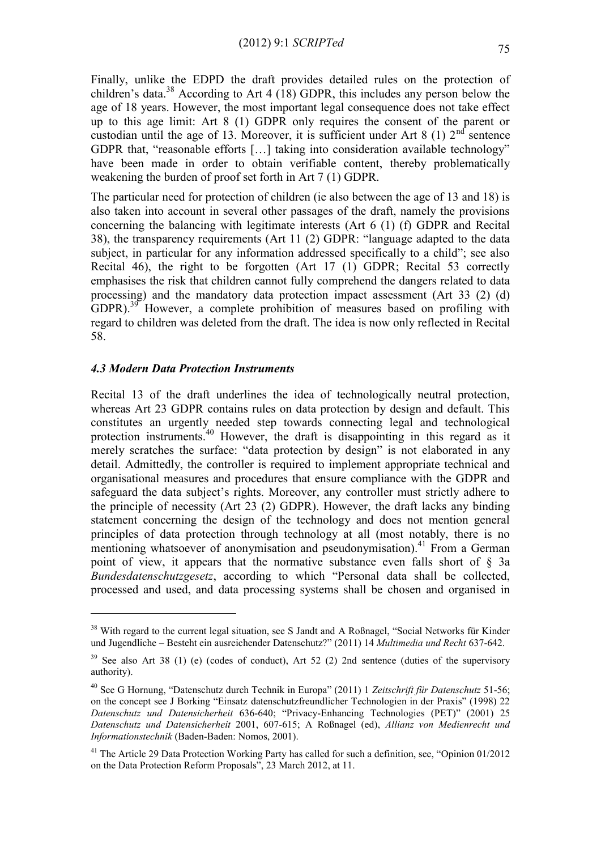Finally, unlike the EDPD the draft provides detailed rules on the protection of children's data.<sup>38</sup> According to Art 4 (18) GDPR, this includes any person below the age of 18 years. However, the most important legal consequence does not take effect up to this age limit: Art 8 (1) GDPR only requires the consent of the parent or custodian until the age of 13. Moreover, it is sufficient under Art 8 (1)  $2<sup>nd</sup>$  sentence GDPR that, "reasonable efforts […] taking into consideration available technology" have been made in order to obtain verifiable content, thereby problematically weakening the burden of proof set forth in Art 7 (1) GDPR.

The particular need for protection of children (ie also between the age of 13 and 18) is also taken into account in several other passages of the draft, namely the provisions concerning the balancing with legitimate interests (Art 6 (1) (f) GDPR and Recital 38), the transparency requirements (Art 11 (2) GDPR: "language adapted to the data subject, in particular for any information addressed specifically to a child"; see also Recital 46), the right to be forgotten (Art 17 (1) GDPR; Recital 53 correctly emphasises the risk that children cannot fully comprehend the dangers related to data processing) and the mandatory data protection impact assessment (Art 33 (2) (d) GDPR).<sup>39</sup> However, a complete prohibition of measures based on profiling with regard to children was deleted from the draft. The idea is now only reflected in Recital 58.

# *4.3 Modern Data Protection Instruments*

<u>.</u>

Recital 13 of the draft underlines the idea of technologically neutral protection, whereas Art 23 GDPR contains rules on data protection by design and default. This constitutes an urgently needed step towards connecting legal and technological protection instruments.<sup>40</sup> However, the draft is disappointing in this regard as it merely scratches the surface: "data protection by design" is not elaborated in any detail. Admittedly, the controller is required to implement appropriate technical and organisational measures and procedures that ensure compliance with the GDPR and safeguard the data subject's rights. Moreover, any controller must strictly adhere to the principle of necessity (Art 23 (2) GDPR). However, the draft lacks any binding statement concerning the design of the technology and does not mention general principles of data protection through technology at all (most notably, there is no mentioning whatsoever of anonymisation and pseudonymisation).<sup>41</sup> From a German point of view, it appears that the normative substance even falls short of § 3a *Bundesdatenschutzgesetz*, according to which "Personal data shall be collected, processed and used, and data processing systems shall be chosen and organised in

<sup>&</sup>lt;sup>38</sup> With regard to the current legal situation, see S Jandt and A Roßnagel, "Social Networks für Kinder und Jugendliche – Besteht ein ausreichender Datenschutz?" (2011) 14 *Multimedia und Recht* 637-642.

 $39$  See also Art 38 (1) (e) (codes of conduct), Art 52 (2) 2nd sentence (duties of the supervisory authority).

<sup>40</sup> See G Hornung, "Datenschutz durch Technik in Europa" (2011) 1 *Zeitschrift für Datenschutz* 51-56; on the concept see J Borking "Einsatz datenschutzfreundlicher Technologien in der Praxis" (1998) 22 *Datenschutz und Datensicherheit* 636-640; "Privacy-Enhancing Technologies (PET)" (2001) 25 *Datenschutz und Datensicherheit* 2001, 607-615; A Roßnagel (ed), *Allianz von Medienrecht und Informationstechnik* (Baden-Baden: Nomos, 2001).

<sup>&</sup>lt;sup>41</sup> The Article 29 Data Protection Working Party has called for such a definition, see, "Opinion 01/2012 on the Data Protection Reform Proposals", 23 March 2012, at 11.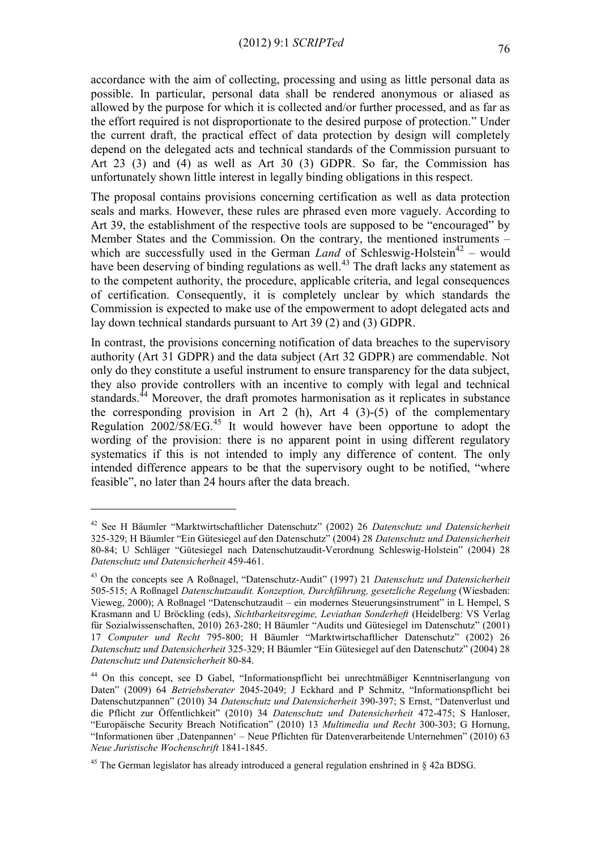accordance with the aim of collecting, processing and using as little personal data as possible. In particular, personal data shall be rendered anonymous or aliased as allowed by the purpose for which it is collected and/or further processed, and as far as the effort required is not disproportionate to the desired purpose of protection." Under the current draft, the practical effect of data protection by design will completely depend on the delegated acts and technical standards of the Commission pursuant to Art 23 (3) and (4) as well as Art 30 (3) GDPR. So far, the Commission has unfortunately shown little interest in legally binding obligations in this respect.

The proposal contains provisions concerning certification as well as data protection seals and marks. However, these rules are phrased even more vaguely. According to Art 39, the establishment of the respective tools are supposed to be "encouraged" by Member States and the Commission. On the contrary, the mentioned instruments – which are successfully used in the German *Land* of Schleswig-Holstein<sup>42</sup> – would have been deserving of binding regulations as well.<sup>43</sup> The draft lacks any statement as to the competent authority, the procedure, applicable criteria, and legal consequences of certification. Consequently, it is completely unclear by which standards the Commission is expected to make use of the empowerment to adopt delegated acts and lay down technical standards pursuant to Art 39 (2) and (3) GDPR.

In contrast, the provisions concerning notification of data breaches to the supervisory authority (Art 31 GDPR) and the data subject (Art 32 GDPR) are commendable. Not only do they constitute a useful instrument to ensure transparency for the data subject, they also provide controllers with an incentive to comply with legal and technical standards.<sup>44</sup> Moreover, the draft promotes harmonisation as it replicates in substance the corresponding provision in Art 2 (h), Art 4 (3)-(5) of the complementary Regulation  $2002/58/EG<sup>45</sup>$  It would however have been opportune to adopt the wording of the provision: there is no apparent point in using different regulatory systematics if this is not intended to imply any difference of content. The only intended difference appears to be that the supervisory ought to be notified, "where feasible", no later than 24 hours after the data breach.

<u>.</u>

<sup>42</sup> See H Bäumler "Marktwirtschaftlicher Datenschutz" (2002) 26 *Datenschutz und Datensicherheit*  325-329; H Bäumler "Ein Gütesiegel auf den Datenschutz" (2004) 28 *Datenschutz und Datensicherheit* 80-84; U Schläger "Gütesiegel nach Datenschutzaudit-Verordnung Schleswig-Holstein" (2004) 28 *Datenschutz und Datensicherheit* 459-461.

<sup>43</sup> On the concepts see A Roßnagel, "Datenschutz-Audit" (1997) 21 *Datenschutz und Datensicherheit*  505-515; A Roßnagel *Datenschutzaudit. Konzeption, Durchführung, gesetzliche Regelung* (Wiesbaden: Vieweg, 2000); A Roßnagel "Datenschutzaudit – ein modernes Steuerungsinstrument" in L Hempel, S Krasmann and U Bröckling (eds), *Sichtbarkeitsregime, Leviathan Sonderheft* (Heidelberg: VS Verlag für Sozialwissenschaften, 2010) 263-280; H Bäumler "Audits und Gütesiegel im Datenschutz" (2001) 17 *Computer und Recht* 795-800; H Bäumler "Marktwirtschaftlicher Datenschutz" (2002) 26 *Datenschutz und Datensicherheit* 325*-*329; H Bäumler "Ein Gütesiegel auf den Datenschutz" (2004) 28 *Datenschutz und Datensicherheit* 80-84.

<sup>44</sup> On this concept, see D Gabel, "Informationspflicht bei unrechtmäßiger Kenntniserlangung von Daten" (2009) 64 *Betriebsberater* 2045-2049; J Eckhard and P Schmitz, "Informationspflicht bei Datenschutzpannen" (2010) 34 *Datenschutz und Datensicherheit* 390-397; S Ernst, "Datenverlust und die Pflicht zur Öffentlichkeit" (2010) 34 *Datenschutz und Datensicherheit* 472-475; S Hanloser, "Europäische Security Breach Notification" (2010) 13 *Multimedia und Recht* 300-303; G Hornung, "Informationen über 'Datenpannen' – Neue Pflichten für Datenverarbeitende Unternehmen" (2010) 63 *Neue Juristische Wochenschrift* 1841-1845.

<sup>&</sup>lt;sup>45</sup> The German legislator has already introduced a general regulation enshrined in  $\S$  42a BDSG.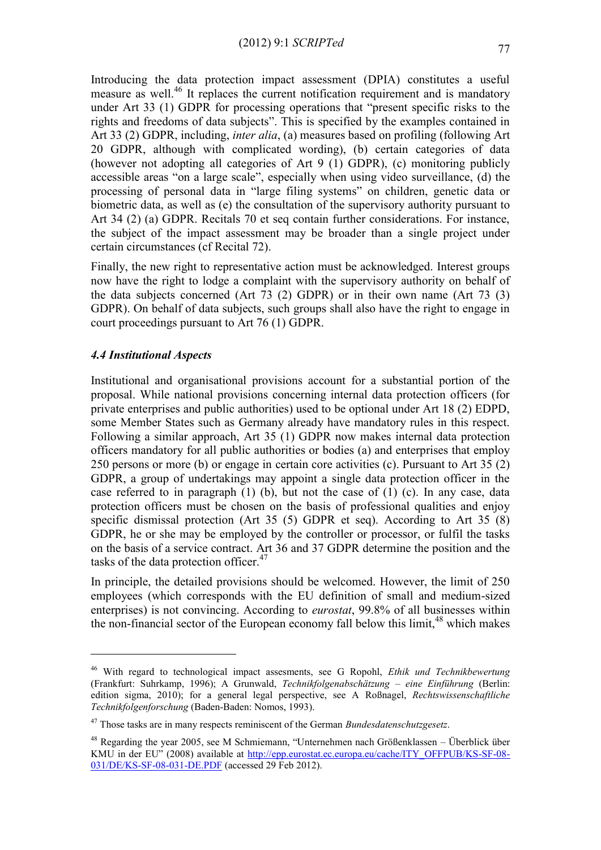Introducing the data protection impact assessment (DPIA) constitutes a useful measure as well.<sup>46</sup> It replaces the current notification requirement and is mandatory under Art 33 (1) GDPR for processing operations that "present specific risks to the rights and freedoms of data subjects". This is specified by the examples contained in Art 33 (2) GDPR, including, *inter alia*, (a) measures based on profiling (following Art 20 GDPR, although with complicated wording), (b) certain categories of data (however not adopting all categories of Art 9 (1) GDPR), (c) monitoring publicly accessible areas "on a large scale", especially when using video surveillance, (d) the processing of personal data in "large filing systems" on children, genetic data or biometric data, as well as (e) the consultation of the supervisory authority pursuant to Art 34 (2) (a) GDPR. Recitals 70 et seq contain further considerations. For instance, the subject of the impact assessment may be broader than a single project under certain circumstances (cf Recital 72).

Finally, the new right to representative action must be acknowledged. Interest groups now have the right to lodge a complaint with the supervisory authority on behalf of the data subjects concerned (Art 73 (2) GDPR) or in their own name (Art 73 (3) GDPR). On behalf of data subjects, such groups shall also have the right to engage in court proceedings pursuant to Art 76 (1) GDPR.

# *4.4 Institutional Aspects*

1

Institutional and organisational provisions account for a substantial portion of the proposal. While national provisions concerning internal data protection officers (for private enterprises and public authorities) used to be optional under Art 18 (2) EDPD, some Member States such as Germany already have mandatory rules in this respect. Following a similar approach, Art 35 (1) GDPR now makes internal data protection officers mandatory for all public authorities or bodies (a) and enterprises that employ 250 persons or more (b) or engage in certain core activities (c). Pursuant to Art 35 (2) GDPR, a group of undertakings may appoint a single data protection officer in the case referred to in paragraph (1) (b), but not the case of (1) (c). In any case, data protection officers must be chosen on the basis of professional qualities and enjoy specific dismissal protection (Art 35 (5) GDPR et seq). According to Art 35 (8) GDPR, he or she may be employed by the controller or processor, or fulfil the tasks on the basis of a service contract. Art 36 and 37 GDPR determine the position and the tasks of the data protection officer.<sup>47</sup>

In principle, the detailed provisions should be welcomed. However, the limit of 250 employees (which corresponds with the EU definition of small and medium-sized enterprises) is not convincing. According to *eurostat*, 99.8% of all businesses within the non-financial sector of the European economy fall below this  $\lim_{x \to 0} t^{48}$  which makes

<sup>46</sup> With regard to technological impact assesments, see G Ropohl, *Ethik und Technikbewertung* (Frankfurt: Suhrkamp, 1996); A Grunwald, *Technikfolgenabschätzung – eine Einführung* (Berlin: edition sigma, 2010); for a general legal perspective, see A Roßnagel, *Rechtswissenschaftliche Technikfolgenforschung* (Baden-Baden: Nomos, 1993).

<sup>47</sup> Those tasks are in many respects reminiscent of the German *Bundesdatenschutzgesetz*.

<sup>48</sup> Regarding the year 2005, see M Schmiemann, "Unternehmen nach Größenklassen – Überblick über KMU in der EU" (2008) available at [http://epp.eurostat.ec.europa.eu/cache/ITY\\_OFFPUB/KS-SF-08-](http://epp.eurostat.ec.europa.eu/cache/ITY_OFFPUB/KS-SF-08-031/DE/KS-SF-08-031-DE.PDF) [031/DE/KS-SF-08-031-DE.PDF](http://epp.eurostat.ec.europa.eu/cache/ITY_OFFPUB/KS-SF-08-031/DE/KS-SF-08-031-DE.PDF) (accessed 29 Feb 2012).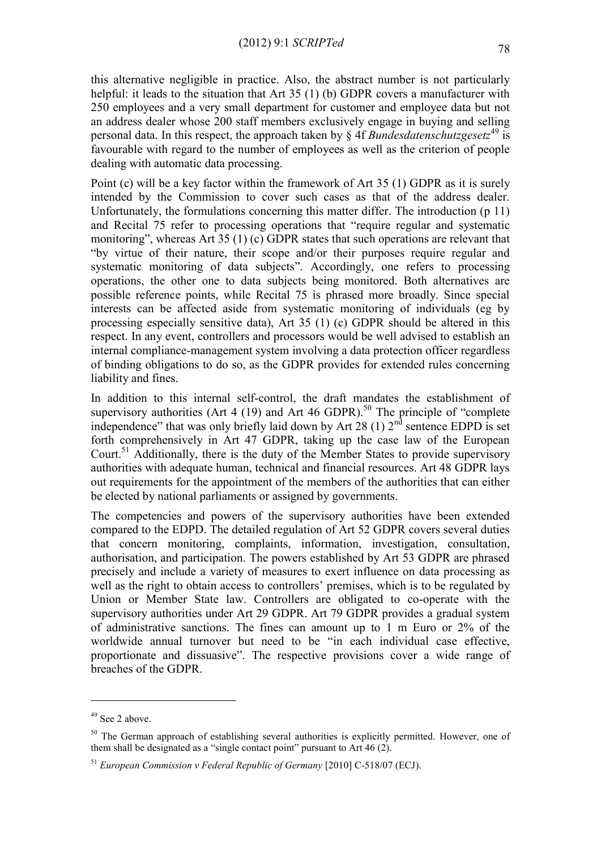this alternative negligible in practice. Also, the abstract number is not particularly helpful: it leads to the situation that Art 35 (1) (b) GDPR covers a manufacturer with 250 employees and a very small department for customer and employee data but not an address dealer whose 200 staff members exclusively engage in buying and selling personal data. In this respect, the approach taken by  $\S$  4f *Bundesdatenschutzgesetz*<sup>49</sup> is favourable with regard to the number of employees as well as the criterion of people dealing with automatic data processing.

Point (c) will be a key factor within the framework of Art 35 (1) GDPR as it is surely intended by the Commission to cover such cases as that of the address dealer. Unfortunately, the formulations concerning this matter differ. The introduction (p 11) and Recital 75 refer to processing operations that "require regular and systematic monitoring", whereas Art 35 (1) (c) GDPR states that such operations are relevant that "by virtue of their nature, their scope and/or their purposes require regular and systematic monitoring of data subjects". Accordingly, one refers to processing operations, the other one to data subjects being monitored. Both alternatives are possible reference points, while Recital 75 is phrased more broadly. Since special interests can be affected aside from systematic monitoring of individuals (eg by processing especially sensitive data), Art 35 (1) (c) GDPR should be altered in this respect. In any event, controllers and processors would be well advised to establish an internal compliance-management system involving a data protection officer regardless of binding obligations to do so, as the GDPR provides for extended rules concerning liability and fines.

In addition to this internal self-control, the draft mandates the establishment of supervisory authorities (Art 4 (19) and Art 46 GDPR).<sup>50</sup> The principle of "complete independence" that was only briefly laid down by Art 28 (1)  $2<sup>nd</sup>$  sentence EDPD is set forth comprehensively in Art 47 GDPR, taking up the case law of the European Court.<sup>51</sup> Additionally, there is the duty of the Member States to provide supervisory authorities with adequate human, technical and financial resources. Art 48 GDPR lays out requirements for the appointment of the members of the authorities that can either be elected by national parliaments or assigned by governments.

The competencies and powers of the supervisory authorities have been extended compared to the EDPD. The detailed regulation of Art 52 GDPR covers several duties that concern monitoring, complaints, information, investigation, consultation, authorisation, and participation. The powers established by Art 53 GDPR are phrased precisely and include a variety of measures to exert influence on data processing as well as the right to obtain access to controllers' premises, which is to be regulated by Union or Member State law. Controllers are obligated to co-operate with the supervisory authorities under Art 29 GDPR. Art 79 GDPR provides a gradual system of administrative sanctions. The fines can amount up to 1 m Euro or 2% of the worldwide annual turnover but need to be "in each individual case effective, proportionate and dissuasive". The respective provisions cover a wide range of breaches of the GDPR.

 $49$  See 2 above.

<sup>&</sup>lt;sup>50</sup> The German approach of establishing several authorities is explicitly permitted. However, one of them shall be designated as a "single contact point" pursuant to Art 46 (2).

<sup>51</sup> *European Commission v Federal Republic of Germany* [2010] C-518/07 (ECJ).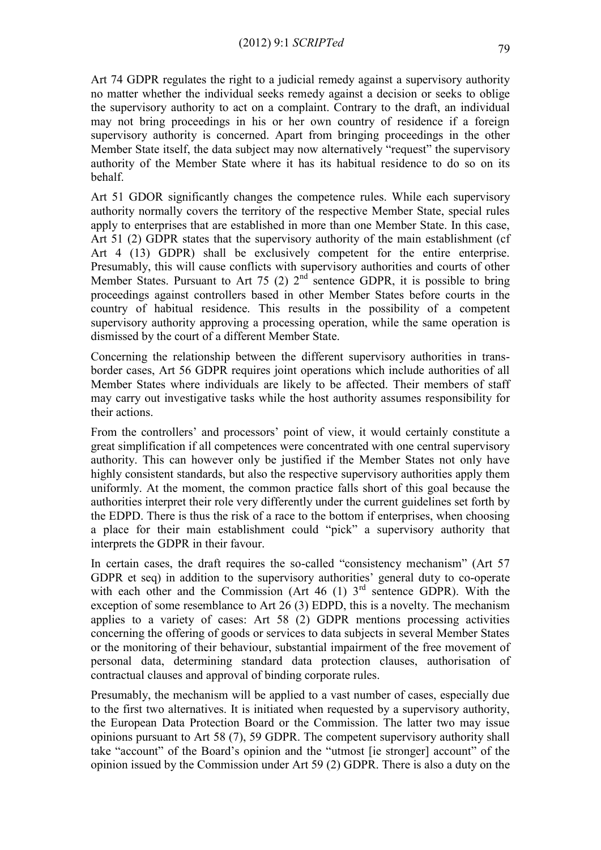Art 74 GDPR regulates the right to a judicial remedy against a supervisory authority no matter whether the individual seeks remedy against a decision or seeks to oblige the supervisory authority to act on a complaint. Contrary to the draft, an individual may not bring proceedings in his or her own country of residence if a foreign supervisory authority is concerned. Apart from bringing proceedings in the other Member State itself, the data subject may now alternatively "request" the supervisory authority of the Member State where it has its habitual residence to do so on its behalf.

Art 51 GDOR significantly changes the competence rules. While each supervisory authority normally covers the territory of the respective Member State, special rules apply to enterprises that are established in more than one Member State. In this case, Art 51 (2) GDPR states that the supervisory authority of the main establishment (cf Art 4 (13) GDPR) shall be exclusively competent for the entire enterprise. Presumably, this will cause conflicts with supervisory authorities and courts of other Member States. Pursuant to Art 75 (2)  $2<sup>nd</sup>$  sentence GDPR, it is possible to bring proceedings against controllers based in other Member States before courts in the country of habitual residence. This results in the possibility of a competent supervisory authority approving a processing operation, while the same operation is dismissed by the court of a different Member State.

Concerning the relationship between the different supervisory authorities in transborder cases, Art 56 GDPR requires joint operations which include authorities of all Member States where individuals are likely to be affected. Their members of staff may carry out investigative tasks while the host authority assumes responsibility for their actions.

From the controllers' and processors' point of view, it would certainly constitute a great simplification if all competences were concentrated with one central supervisory authority. This can however only be justified if the Member States not only have highly consistent standards, but also the respective supervisory authorities apply them uniformly. At the moment, the common practice falls short of this goal because the authorities interpret their role very differently under the current guidelines set forth by the EDPD. There is thus the risk of a race to the bottom if enterprises, when choosing a place for their main establishment could "pick" a supervisory authority that interprets the GDPR in their favour.

In certain cases, the draft requires the so-called "consistency mechanism" (Art 57 GDPR et seq) in addition to the supervisory authorities' general duty to co-operate with each other and the Commission (Art  $46$  (1) 3<sup>rd</sup> sentence GDPR). With the exception of some resemblance to Art 26 (3) EDPD, this is a novelty. The mechanism applies to a variety of cases: Art 58 (2) GDPR mentions processing activities concerning the offering of goods or services to data subjects in several Member States or the monitoring of their behaviour, substantial impairment of the free movement of personal data, determining standard data protection clauses, authorisation of contractual clauses and approval of binding corporate rules.

Presumably, the mechanism will be applied to a vast number of cases, especially due to the first two alternatives. It is initiated when requested by a supervisory authority, the European Data Protection Board or the Commission. The latter two may issue opinions pursuant to Art 58 (7), 59 GDPR. The competent supervisory authority shall take "account" of the Board's opinion and the "utmost [ie stronger] account" of the opinion issued by the Commission under Art 59 (2) GDPR. There is also a duty on the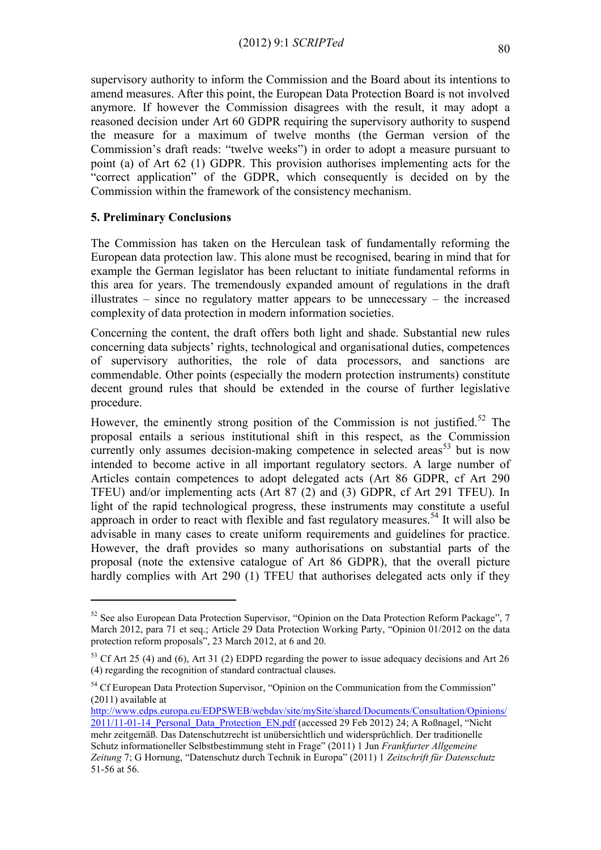supervisory authority to inform the Commission and the Board about its intentions to amend measures. After this point, the European Data Protection Board is not involved anymore. If however the Commission disagrees with the result, it may adopt a reasoned decision under Art 60 GDPR requiring the supervisory authority to suspend the measure for a maximum of twelve months (the German version of the Commission's draft reads: "twelve weeks") in order to adopt a measure pursuant to point (a) of Art 62 (1) GDPR. This provision authorises implementing acts for the "correct application" of the GDPR, which consequently is decided on by the Commission within the framework of the consistency mechanism.

# **5. Preliminary Conclusions**

1

The Commission has taken on the Herculean task of fundamentally reforming the European data protection law. This alone must be recognised, bearing in mind that for example the German legislator has been reluctant to initiate fundamental reforms in this area for years. The tremendously expanded amount of regulations in the draft illustrates – since no regulatory matter appears to be unnecessary – the increased complexity of data protection in modern information societies.

Concerning the content, the draft offers both light and shade. Substantial new rules concerning data subjects' rights, technological and organisational duties, competences of supervisory authorities, the role of data processors, and sanctions are commendable. Other points (especially the modern protection instruments) constitute decent ground rules that should be extended in the course of further legislative procedure.

However, the eminently strong position of the Commission is not justified.<sup>52</sup> The proposal entails a serious institutional shift in this respect, as the Commission currently only assumes decision-making competence in selected areas<sup>53</sup> but is now intended to become active in all important regulatory sectors. A large number of Articles contain competences to adopt delegated acts (Art 86 GDPR, cf Art 290 TFEU) and/or implementing acts (Art 87 (2) and (3) GDPR, cf Art 291 TFEU). In light of the rapid technological progress, these instruments may constitute a useful approach in order to react with flexible and fast regulatory measures.<sup>54</sup> It will also be advisable in many cases to create uniform requirements and guidelines for practice. However, the draft provides so many authorisations on substantial parts of the proposal (note the extensive catalogue of Art 86 GDPR), that the overall picture hardly complies with Art 290 (1) TFEU that authorises delegated acts only if they

[http://www.edps.europa.eu/EDPSWEB/webdav/site/mySite/shared/Documents/Consultation/Opinions/](http://www.edps.europa.eu/EDPSWEB/webdav/site/mySite/shared/Documents/Consultation/Opinions/2011/11-01-14_Personal_Data_Protection_EN.pdf) [2011/11-01-14\\_Personal\\_Data\\_Protection\\_EN.pdf](http://www.edps.europa.eu/EDPSWEB/webdav/site/mySite/shared/Documents/Consultation/Opinions/2011/11-01-14_Personal_Data_Protection_EN.pdf) (accessed 29 Feb 2012) 24; A Roßnagel, "Nicht mehr zeitgemäß. Das Datenschutzrecht ist unübersichtlich und widersprüchlich. Der traditionelle

 $52$  See also European Data Protection Supervisor, "Opinion on the Data Protection Reform Package", 7 March 2012, para 71 et seq.; Article 29 Data Protection Working Party, "Opinion 01/2012 on the data protection reform proposals", 23 March 2012, at 6 and 20.

<sup>&</sup>lt;sup>53</sup> Cf Art 25 (4) and (6), Art 31 (2) EDPD regarding the power to issue adequacy decisions and Art 26 (4) regarding the recognition of standard contractual clauses.

<sup>&</sup>lt;sup>54</sup> Cf European Data Protection Supervisor, "Opinion on the Communication from the Commission" (2011) available at

Schutz informationeller Selbstbestimmung steht in Frage" (2011) 1 Jun *Frankfurter Allgemeine Zeitung* 7; G Hornung, "Datenschutz durch Technik in Europa" (2011) 1 *Zeitschrift für Datenschutz*  51-56 at 56.